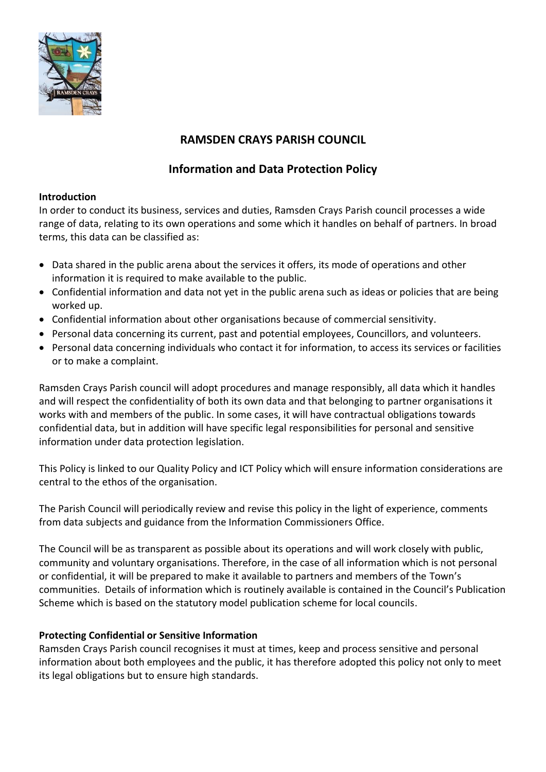

# **RAMSDEN CRAYS PARISH COUNCIL**

## **Information and Data Protection Policy**

## **Introduction**

In order to conduct its business, services and duties, Ramsden Crays Parish council processes a wide range of data, relating to its own operations and some which it handles on behalf of partners. In broad terms, this data can be classified as:

- Data shared in the public arena about the services it offers, its mode of operations and other information it is required to make available to the public.
- Confidential information and data not yet in the public arena such as ideas or policies that are being worked up.
- Confidential information about other organisations because of commercial sensitivity.
- Personal data concerning its current, past and potential employees, Councillors, and volunteers.
- Personal data concerning individuals who contact it for information, to access its services or facilities or to make a complaint.

Ramsden Crays Parish council will adopt procedures and manage responsibly, all data which it handles and will respect the confidentiality of both its own data and that belonging to partner organisations it works with and members of the public. In some cases, it will have contractual obligations towards confidential data, but in addition will have specific legal responsibilities for personal and sensitive information under data protection legislation.

This Policy is linked to our Quality Policy and ICT Policy which will ensure information considerations are central to the ethos of the organisation.

The Parish Council will periodically review and revise this policy in the light of experience, comments from data subjects and guidance from the Information Commissioners Office.

The Council will be as transparent as possible about its operations and will work closely with public, community and voluntary organisations. Therefore, in the case of all information which is not personal or confidential, it will be prepared to make it available to partners and members of the Town's communities. Details of information which is routinely available is contained in the Council's Publication Scheme which is based on the statutory model publication scheme for local councils.

## **Protecting Confidential or Sensitive Information**

Ramsden Crays Parish council recognises it must at times, keep and process sensitive and personal information about both employees and the public, it has therefore adopted this policy not only to meet its legal obligations but to ensure high standards.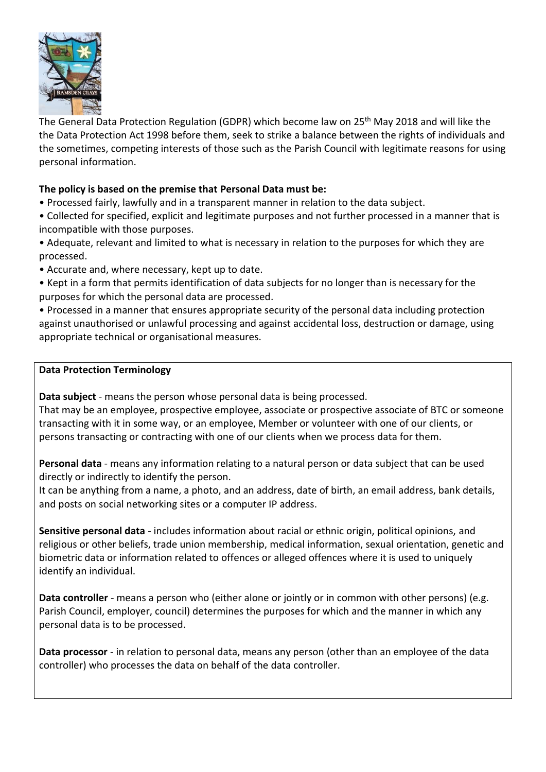

The General Data Protection Regulation (GDPR) which become law on 25th May 2018 and will like the the Data Protection Act 1998 before them, seek to strike a balance between the rights of individuals and the sometimes, competing interests of those such as the Parish Council with legitimate reasons for using personal information.

### **The policy is based on the premise that Personal Data must be:**

- Processed fairly, lawfully and in a transparent manner in relation to the data subject.
- Collected for specified, explicit and legitimate purposes and not further processed in a manner that is incompatible with those purposes.
- Adequate, relevant and limited to what is necessary in relation to the purposes for which they are processed.
- Accurate and, where necessary, kept up to date.
- Kept in a form that permits identification of data subjects for no longer than is necessary for the purposes for which the personal data are processed.

• Processed in a manner that ensures appropriate security of the personal data including protection against unauthorised or unlawful processing and against accidental loss, destruction or damage, using appropriate technical or organisational measures.

#### **Data Protection Terminology**

**Data subject** - means the person whose personal data is being processed.

That may be an employee, prospective employee, associate or prospective associate of BTC or someone transacting with it in some way, or an employee, Member or volunteer with one of our clients, or persons transacting or contracting with one of our clients when we process data for them.

**Personal data** - means any information relating to a natural person or data subject that can be used directly or indirectly to identify the person.

It can be anything from a name, a photo, and an address, date of birth, an email address, bank details, and posts on social networking sites or a computer IP address.

**Sensitive personal data** - includes information about racial or ethnic origin, political opinions, and religious or other beliefs, trade union membership, medical information, sexual orientation, genetic and biometric data or information related to offences or alleged offences where it is used to uniquely identify an individual.

**Data controller** - means a person who (either alone or jointly or in common with other persons) (e.g. Parish Council, employer, council) determines the purposes for which and the manner in which any personal data is to be processed.

**Data processor** - in relation to personal data, means any person (other than an employee of the data controller) who processes the data on behalf of the data controller.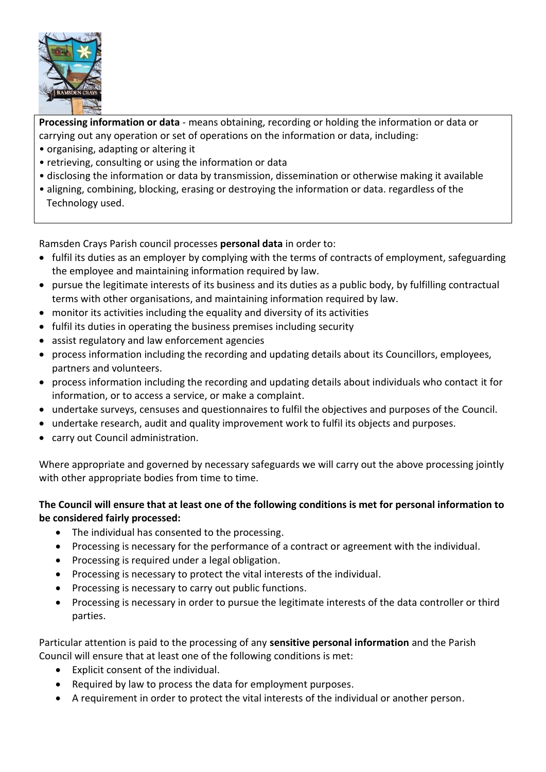

**Processing information or data** - means obtaining, recording or holding the information or data or carrying out any operation or set of operations on the information or data, including:

- organising, adapting or altering it
- retrieving, consulting or using the information or data
- disclosing the information or data by transmission, dissemination or otherwise making it available
- aligning, combining, blocking, erasing or destroying the information or data. regardless of the Technology used.

Ramsden Crays Parish council processes **personal data** in order to:

- fulfil its duties as an employer by complying with the terms of contracts of employment, safeguarding the employee and maintaining information required by law.
- pursue the legitimate interests of its business and its duties as a public body, by fulfilling contractual terms with other organisations, and maintaining information required by law.
- monitor its activities including the equality and diversity of its activities
- fulfil its duties in operating the business premises including security
- assist regulatory and law enforcement agencies
- process information including the recording and updating details about its Councillors, employees, partners and volunteers.
- process information including the recording and updating details about individuals who contact it for information, or to access a service, or make a complaint.
- undertake surveys, censuses and questionnaires to fulfil the objectives and purposes of the Council.
- undertake research, audit and quality improvement work to fulfil its objects and purposes.
- carry out Council administration.

Where appropriate and governed by necessary safeguards we will carry out the above processing jointly with other appropriate bodies from time to time.

## **The Council will ensure that at least one of the following conditions is met for personal information to be considered fairly processed:**

- The individual has consented to the processing.
- Processing is necessary for the performance of a contract or agreement with the individual.
- Processing is required under a legal obligation.
- Processing is necessary to protect the vital interests of the individual.
- Processing is necessary to carry out public functions.
- Processing is necessary in order to pursue the legitimate interests of the data controller or third parties.

Particular attention is paid to the processing of any **sensitive personal information** and the Parish Council will ensure that at least one of the following conditions is met:

- Explicit consent of the individual.
- Required by law to process the data for employment purposes.
- A requirement in order to protect the vital interests of the individual or another person.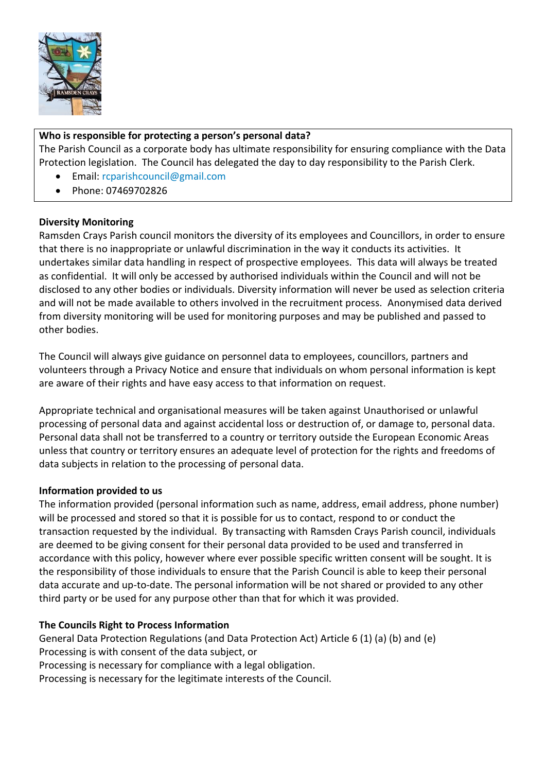

## **Who is responsible for protecting a person's personal data?**

The Parish Council as a corporate body has ultimate responsibility for ensuring compliance with the Data Protection legislation. The Council has delegated the day to day responsibility to the Parish Clerk.

- Email: [rcparishcouncil@gmail.com](mailto:rcparishcouncil@gmail.com)
- Phone: 07469702826

## **Diversity Monitoring**

Ramsden Crays Parish council monitors the diversity of its employees and Councillors, in order to ensure that there is no inappropriate or unlawful discrimination in the way it conducts its activities. It undertakes similar data handling in respect of prospective employees. This data will always be treated as confidential. It will only be accessed by authorised individuals within the Council and will not be disclosed to any other bodies or individuals. Diversity information will never be used as selection criteria and will not be made available to others involved in the recruitment process. Anonymised data derived from diversity monitoring will be used for monitoring purposes and may be published and passed to other bodies.

The Council will always give guidance on personnel data to employees, councillors, partners and volunteers through a Privacy Notice and ensure that individuals on whom personal information is kept are aware of their rights and have easy access to that information on request.

Appropriate technical and organisational measures will be taken against Unauthorised or unlawful processing of personal data and against accidental loss or destruction of, or damage to, personal data. Personal data shall not be transferred to a country or territory outside the European Economic Areas unless that country or territory ensures an adequate level of protection for the rights and freedoms of data subjects in relation to the processing of personal data.

#### **Information provided to us**

The information provided (personal information such as name, address, email address, phone number) will be processed and stored so that it is possible for us to contact, respond to or conduct the transaction requested by the individual. By transacting with Ramsden Crays Parish council, individuals are deemed to be giving consent for their personal data provided to be used and transferred in accordance with this policy, however where ever possible specific written consent will be sought. It is the responsibility of those individuals to ensure that the Parish Council is able to keep their personal data accurate and up-to-date. The personal information will be not shared or provided to any other third party or be used for any purpose other than that for which it was provided.

#### **The Councils Right to Process Information**

General Data Protection Regulations (and Data Protection Act) Article 6 (1) (a) (b) and (e) Processing is with consent of the data subject, or Processing is necessary for compliance with a legal obligation. Processing is necessary for the legitimate interests of the Council.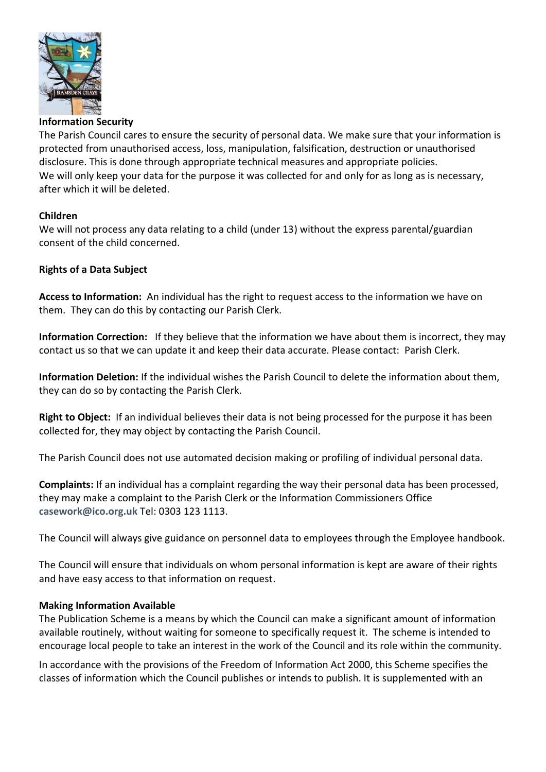

#### **Information Security**

The Parish Council cares to ensure the security of personal data. We make sure that your information is protected from unauthorised access, loss, manipulation, falsification, destruction or unauthorised disclosure. This is done through appropriate technical measures and appropriate policies. We will only keep your data for the purpose it was collected for and only for as long as is necessary, after which it will be deleted.

#### **Children**

We will not process any data relating to a child (under 13) without the express parental/guardian consent of the child concerned.

#### **Rights of a Data Subject**

**Access to Information:** An individual has the right to request access to the information we have on them. They can do this by contacting our Parish Clerk.

**Information Correction:** If they believe that the information we have about them is incorrect, they may contact us so that we can update it and keep their data accurate. Please contact: Parish Clerk.

**Information Deletion:** If the individual wishes the Parish Council to delete the information about them, they can do so by contacting the Parish Clerk.

**Right to Object:** If an individual believes their data is not being processed for the purpose it has been collected for, they may object by contacting the Parish Council.

The Parish Council does not use automated decision making or profiling of individual personal data.

**Complaints:** If an individual has a complaint regarding the way their personal data has been processed, they may make a complaint to the Parish Clerk or the Information Commissioners Office **[casework@ico.org.uk](mailto:casework@ico.org.uk)** Tel: 0303 123 1113.

The Council will always give guidance on personnel data to employees through the Employee handbook.

The Council will ensure that individuals on whom personal information is kept are aware of their rights and have easy access to that information on request.

#### **Making Information Available**

The Publication Scheme is a means by which the Council can make a significant amount of information available routinely, without waiting for someone to specifically request it. The scheme is intended to encourage local people to take an interest in the work of the Council and its role within the community.

In accordance with the provisions of the Freedom of Information Act 2000, this Scheme specifies the classes of information which the Council publishes or intends to publish. It is supplemented with an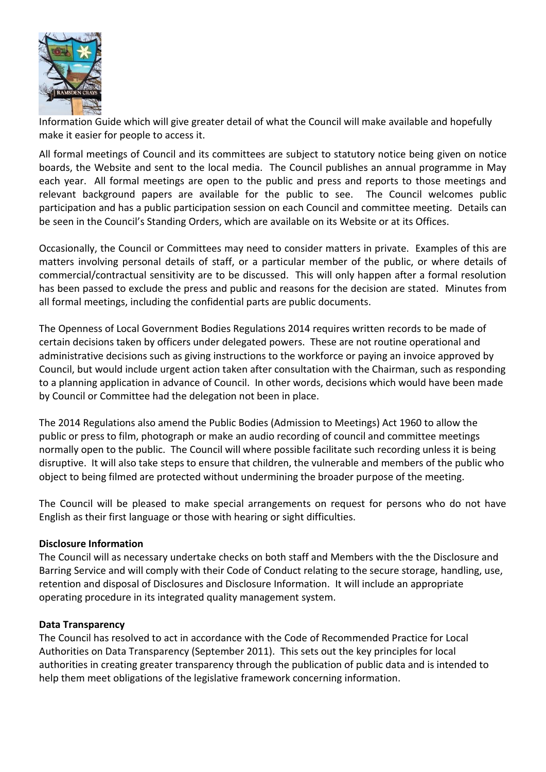

Information Guide which will give greater detail of what the Council will make available and hopefully make it easier for people to access it.

All formal meetings of Council and its committees are subject to statutory notice being given on notice boards, the Website and sent to the local media. The Council publishes an annual programme in May each year. All formal meetings are open to the public and press and reports to those meetings and relevant background papers are available for the public to see. The Council welcomes public participation and has a public participation session on each Council and committee meeting. Details can be seen in the Council's Standing Orders, which are available on its Website or at its Offices.

Occasionally, the Council or Committees may need to consider matters in private. Examples of this are matters involving personal details of staff, or a particular member of the public, or where details of commercial/contractual sensitivity are to be discussed. This will only happen after a formal resolution has been passed to exclude the press and public and reasons for the decision are stated. Minutes from all formal meetings, including the confidential parts are public documents.

The Openness of Local Government Bodies Regulations 2014 requires written records to be made of certain decisions taken by officers under delegated powers. These are not routine operational and administrative decisions such as giving instructions to the workforce or paying an invoice approved by Council, but would include urgent action taken after consultation with the Chairman, such as responding to a planning application in advance of Council. In other words, decisions which would have been made by Council or Committee had the delegation not been in place.

The 2014 Regulations also amend the Public Bodies (Admission to Meetings) Act 1960 to allow the public or press to film, photograph or make an audio recording of council and committee meetings normally open to the public. The Council will where possible facilitate such recording unless it is being disruptive. It will also take steps to ensure that children, the vulnerable and members of the public who object to being filmed are protected without undermining the broader purpose of the meeting.

The Council will be pleased to make special arrangements on request for persons who do not have English as their first language or those with hearing or sight difficulties.

#### **Disclosure Information**

The Council will as necessary undertake checks on both staff and Members with the the Disclosure and Barring Service and will comply with their Code of Conduct relating to the secure storage, handling, use, retention and disposal of Disclosures and Disclosure Information. It will include an appropriate operating procedure in its integrated quality management system.

#### **Data Transparency**

The Council has resolved to act in accordance with the Code of Recommended Practice for Local Authorities on Data Transparency (September 2011). This sets out the key principles for local authorities in creating greater transparency through the publication of public data and is intended to help them meet obligations of the legislative framework concerning information.